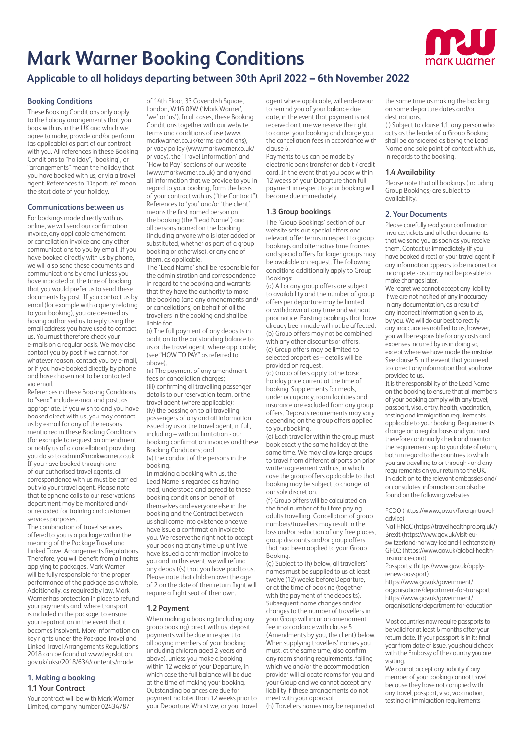# **Mark Warner Booking Conditions**



# **Applicable to all holidays departing between 30th April 2022 – 6th November 2022**

# **Booking Conditions**

These Booking Conditions only apply to the holiday arrangements that you book with us in the UK and which we agree to make, provide and/or perform (as applicable) as part of our contract with you. All references in these Booking Conditions to "holiday", "booking", or "arrangements" mean the holiday that you have booked with us, or via a travel agent. References to "Departure" mean the start date of your holiday.

# **Communications between us**

For bookings made directly with us online, we will send our confirmation invoice, any applicable amendment or cancellation invoice and any other communications to you by email. If you have booked directly with us by phone, we will also send these documents and communications by email unless you have indicated at the time of booking that you would prefer us to send these documents by post. If you contact us by email (for example with a query relating to your booking), you are deemed as having authorised us to reply using the email address you have used to contact us. You must therefore check your e-mails on a regular basis. We may also contact you by post if we cannot, for whatever reason, contact you by e-mail, or if you have booked directly by phone and have chosen not to be contacted via email.

References in these Booking Conditions to "send" include e-mail and post, as appropriate. If you wish to and you have booked direct with us, you may contact us by e-mail for any of the reasons mentioned in these Booking Conditions (for example to request an amendment or notify us of a cancellation) providing you do so to admin@markwarner.co.uk If you have booked through one of our authorised travel agents, all correspondence with us must be carried out via your travel agent. Please note that telephone calls to our reservations department may be monitored and/ or recorded for training and customer services purposes.

The combination of travel services offered to you is a package within the meaning of the Package Travel and Linked Travel Arrangements Regulations. Therefore, you will benefit from all rights applying to packages. Mark Warner will be fully responsible for the proper performance of the package as a whole. Additionally, as required by law, Mark Warner has protection in place to refund your payments and, where transport is included in the package, to ensure your repatriation in the event that it becomes insolvent. More information on key rights under the Package Travel and Linked Travel Arrangements Regulations 2018 can be found at www.legislation. gov.uk/ uksi/2018/634/contents/made.

# **1. Making a booking 1.1 Your Contract**

Your contract will be with Mark Warner Limited, company number 02434787

of 14th Floor, 33 Cavendish Square, London, W1G 0PW ('Mark Warner', 'we' or 'us'). In all cases, these Booking Conditions together with our website terms and conditions of use (www. markwarner.co.uk/terms-conditions), privacy policy (www.markwarner.co.uk/ privacy), the 'Travel Information' and 'How to Pay' sections of our website (www.markwarner.co.uk) and any and all information that we provide to you in regard to your booking, form the basis of your contract with us ("the Contract"). References to 'you' and/or 'the client' means the first named person on the booking (the "Lead Name") and all persons named on the booking (including anyone who is later added or substituted, whether as part of a group booking or otherwise), or any one of them, as applicable.

The 'Lead Name' shall be responsible for the administration and correspondence in regard to the booking and warrants that they have the authority to make the booking (and any amendments and/ or cancellations) on behalf of all the travellers in the booking and shall be liable for:

(i) The full payment of any deposits in addition to the outstanding balance to us or the travel agent, where applicable; (see "HOW TO PAY" as referred to above).

(ii) The payment of any amendment fees or cancellation charges; (iii) confirming all travelling passenger details to our reservation team, or the travel agent (where applicable); (iv) the passing on to all travelling passengers of any and all information issued by us or the travel agent, in full, including – without limitation - our booking confirmation invoices and these Booking Conditions; and (v) the conduct of the persons in the booking.

In making a booking with us, the Lead Name is regarded as having read, understood and agreed to these booking conditions on behalf of themselves and everyone else in the booking and the Contract between us shall come into existence once we have issue a confirmation invoice to you. We reserve the right not to accept your booking at any time up until we have issued a confirmation invoice to you and, in this event, we will refund any deposit(s) that you have paid to us. Please note that children over the age of 2 on the date of their return flight will require a flight seat of their own.

# **1.2 Payment**

When making a booking (including any group booking) direct with us, deposit payments will be due in respect to all paying members of your booking (including children aged 2 years and above), unless you make a booking within 12 weeks of your Departure, in which case the full balance will be due at the time of making your booking. Outstanding balances are due for payment no later than 12 weeks prior to your Departure. Whilst we, or your travel agent where applicable, will endeavour to remind you of your balance due date, in the event that payment is not received on time we reserve the right to cancel your booking and charge you the cancellation fees in accordance with clause 6.

Payments to us can be made by electronic bank transfer or debit / credit card. In the event that you book within 12 weeks of your Departure then full payment in respect to your booking will become due immediately.

# **1.3 Group bookings**

The 'Group Bookings' section of our website sets out special offers and relevant offer terms in respect to group bookings and alternative time frames and special offers for larger groups may be available on request. The following conditions additionally apply to Group Bookings:

(a) All or any group offers are subject to availability and the number of group offers per departure may be limited or withdrawn at any time and without prior notice. Existing bookings that have already been made will not be affected. (b) Group offers may not be combined with any other discounts or offers. (c) Group offers may be limited to selected properties – details will be provided on request.

(d) Group offers apply to the basic holiday price current at the time of booking. Supplements for meals, under occupancy, room facilities and insurance are excluded from any group offers. Deposits requirements may vary depending on the group offers applied to your booking.

(e) Each traveller within the group must book exactly the same holiday at the same time. We may allow large groups to travel from different airports on prior written agreement with us, in which case the group offers applicable to that booking may be subject to change, at our sole discretion.

(f) Group offers will be calculated on the final number of full fare paying adults travelling. Cancellation of group numbers/travellers may result in the loss and/or reduction of any free places, group discounts and/or group offers that had been applied to your Group Booking.

(g) Subject to (h) below, all travellers' names must be supplied to us at least twelve (12) weeks before Departure, or at the time of booking (together with the payment of the deposits). Subsequent name changes and/or changes to the number of travellers in your Group will incur an amendment fee in accordance with clause 5 (Amendments by you, the client) below. When supplying travellers' names you must, at the same time, also confirm any room sharing requirements, failing which we and/or the accommodation provider will allocate rooms for you and your Group and we cannot accept any liability if these arrangements do not meet with your approval.

(h) Travellers names may be required at

the same time as making the booking on some departure dates and/or destinations.

(i) Subject to clause 1.1, any person who acts as the leader of a Group Booking shall be considered as being the Lead Name and sole point of contact with us, in regards to the booking.

# **1.4 Availability**

Please note that all bookings (including Group Bookings) are subject to availability.

# **2. Your Documents**

Please carefully read your confirmation invoice, tickets and all other documents that we send you as soon as you receive them. Contact us immediately (if you have booked direct) or your travel agent if any information appears to be incorrect or incomplete - as it may not be possible to make changes later.

We regret we cannot accept any liability if we are not notified of any inaccuracy in any documentation, as a result of any incorrect information given to us, by you. We will do our best to rectify any inaccuracies notified to us, however you will be responsible for any costs and expenses incurred by us in doing so, except where we have made the mistake. See clause 5 in the event that you need to correct any information that you have provided to us.

It is the responsibility of the Lead Name on the booking to ensure that all members of your booking comply with any travel, passport, visa, entry, health, vaccination, testing and immigration requirements applicable to your booking. Requirements change on a regular basis and you must therefore continually check and monitor the requirements up to your date of return, both in regard to the countries to which you are travelling to or through - and any requirements on your return to the UK. In addition to the relevant embassies and/ or consulates, information can also be found on the following websites:

FCDO (https://www.gov.uk/foreign-traveladvice)

NaTHNaC (https://travelhealthpro.org.uk/) Brexit (https://www.gov.uk/visit-euswitzerland-norway-iceland-liechtenstein) GHIC: (https://www.gov.uk/global-healthinsurance-card)

Passports: (https://www.gov.uk/applyrenew-passport)

https://www.gov.uk/government/ organisations/department-for-transport https://www.gov.uk/government/ organisations/department-for-education

Most countries now require passports to be valid for at least 6 months after your return date. If your passport is in its final year from date of issue, you should check with the Embassy of the country you are visiting.

We cannot accept any liability if any member of your booking cannot travel because they have not complied with any travel, passport, visa, vaccination, testing or immigration requirements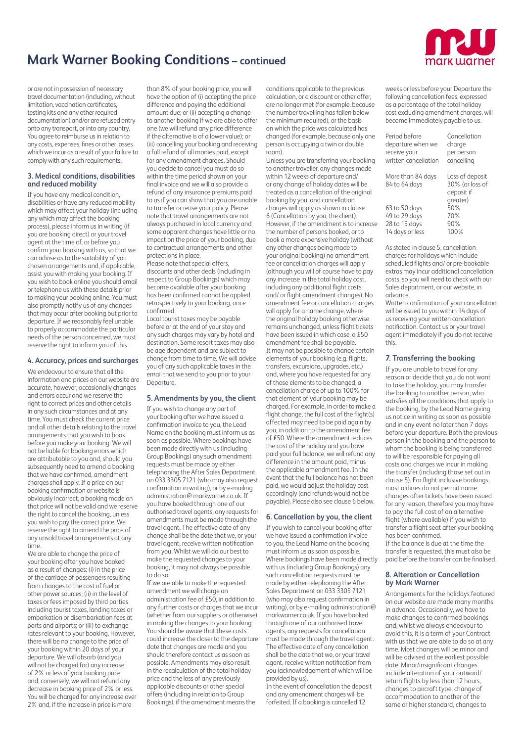

or are not in possession of necessary travel documentation (including, without limitation, vaccination certificates testing kits and any other required documentation) and/or are refused entry onto any transport, or into any country. You agree to reimburse us in relation to any costs, expenses, fines or other losses which we incur as a result of your failure to comply with any such requirements.

# **3. Medical conditions, disabilities and reduced mobility**

If you have any medical condition, disabilities or have any reduced mobility which may affect your holiday (including any which may affect the booking process), please inform us in writing (if you are booking direct) or your travel agent at the time of, or before you confirm your booking with us, so that we can advise as to the suitability of you chosen arrangements and, if applicable, assist you with making your booking. If you wish to book online you should email or telephone us with these details prior to making your booking online. You must also promptly notify us of any changes that may occur after booking but prior to departure. If we reasonably feel unable to properly accommodate the particular needs of the person concerned, we must reserve the right to inform you of this.

# **4. Accuracy, prices and surcharges**

We endeavour to ensure that all the information and prices on our website are accurate, however, occasionally changes and errors occur and we reserve the right to correct prices and other details in any such circumstances and at any time. You must check the current price and all other details relating to the travel arrangements that you wish to book before you make your booking. We will not be liable for booking errors which are attributable to you and, should you subsequently need to amend a booking that we have confirmed, amendment charges shall apply. If a price on our booking confirmation or website is obviously incorrect, a booking made on that price will not be valid and we reserve the right to cancel the booking, unless you wish to pay the correct price. We reserve the right to amend the price of any unsold travel arrangements at any time.

We are able to change the price of your booking after you have booked as a result of changes: (i) in the price of the carriage of passengers resulting from changes to the cost of fuel or other power sources; (ii) in the level of taxes or fees imposed by third parties including tourist taxes, landing taxes or embarkation or disembarkation fees at ports and airports; or (iii) to exchange rates relevant to your booking. However, there will be no change to the price of your booking within 20 days of your departure. We will absorb (and you will not be charged for) any increase of 2% or less of your booking price and, conversely, we will not refund any decrease in booking price of 2% or less. You will be charged for any increase over 2% and, if the increase in price is more

than 8% of your booking price, you will have the option of (i) accepting the price difference and paying the additional amount due; or (ii) accepting a change to another booking if we are able to offer one (we will refund any price difference if the alternative is of a lower value); or (iii) cancelling your booking and receiving a full refund of all monies paid, except for any amendment charges. Should you decide to cancel you must do so within the time period shown on your final invoice and we will also provide a refund of any insurance premiums paid to us if you can show that you are unable to transfer or reuse your policy. Please note that travel arrangements are not always purchased in local currency and some apparent changes have little or no impact on the price of your booking, due to contractual arrangements and other protections in place.

Please note that special offers, discounts and other deals (including in respect to Group Bookings) which may become available after your booking has been confirmed cannot be applied retrospectively to your booking, once confirmed.

Local tourist taxes may be payable before or at the end of your stay and any such charges may vary by hotel and destination. Some resort taxes may also be age dependent and are subject to change from time to time. We will advise you of any such applicable taxes in the email that we send to you prior to your Departure.

#### **5. Amendments by you, the client**

If you wish to change any part of your booking after we have issued a confirmation invoice to you, the Lead Name on the booking must inform us as soon as possible. Where bookings have been made directly with us (including Group Bookings) any such amendment requests must be made by either telephoning the After Sales Department on 033 3305 7121 (who may also request confirmation in writing), or by e-mailing administration@ markwarner.co.uk. If you have booked through one of our authorised travel agents, any requests for amendments must be made through the travel agent. The effective date of any change shall be the date that we, or your travel agent, receive written notification from you. Whilst we will do our best to make the requested changes to your booking, it may not always be possible to do so.

If we are able to make the requested amendment we will charge an administration fee of £50, in addition to any further costs or charges that we incur (whether from our suppliers or otherwise) in making the changes to your booking. You should be aware that these costs could increase the closer to the departure date that changes are made and you should therefore contact us as soon as possible. Amendments may also result in the recalculation of the total holiday price and the loss of any previously applicable discounts or other special offers (including in relation to Group Bookings), if the amendment means the

conditions applicable to the previous calculation, or a discount or other offer, are no longer met (for example, because the number travelling has fallen below the minimum required), or the basis on which the price was calculated has changed (for example, because only one person is occupying a twin or double room).

Unless you are transferring your booking to another traveller, any changes made within 12 weeks of departure and/ or any change of holiday dates will be treated as a cancellation of the original booking by you, and cancellation charges will apply as shown in clause 6 (Cancellation by you, the client). However, if the amendment is to increase the number of persons booked, or to book a more expensive holiday (without any other changes being made to your original booking) no amendment fee or cancellation charges will apply (although you will of course have to pay any increase in the total holiday cost, including any additional flight costs and/ or flight amendment changes). No amendment fee or cancellation charges will apply for a name change, where the original holiday booking otherwise remains unchanged, unless flight tickets have been issued in which case,  $a \neq 50$ amendment fee shall be payable. It may not be possible to change certain elements of your booking (e.g. flights, transfers, excursions, upgrades, etc.) and, where you have requested for any of those elements to be changed, a cancellation charge of up to 100% for that element of your booking may be charged. For example, in order to make a flight change, the full cost of the flight(s) affected may need to be paid again by you, in addition to the amendment fee of £50. Where the amendment reduces the cost of the holiday and you have paid your full balance, we will refund any difference in the amount paid, minus the applicable amendment fee. In the event that the full balance has not been paid, we would adjust the holiday cost accordingly (and refunds would not be payable). Please also see clause 6 below.

#### **6. Cancellation by you, the client**

If you wish to cancel your booking after we have issued a confirmation invoice to you, the Lead Name on the booking must inform us as soon as possible. Where bookings have been made directly with us (including Group Bookings) any such cancellation requests must be made by either telephoning the After Sales Department on 033 3305 7121 (who may also request confirmation in writing), or by e-mailing administration@ markwarner.co.uk. If you have booked through one of our authorised travel agents, any requests for cancellation must be made through the travel agent. The effective date of any cancellation shall be the date that we, or your travel agent, receive written notification from you (acknowledgement of which will be provided by us).

In the event of cancellation the deposit and any amendment charges will be forfeited. If a booking is cancelled 12

weeks or less before your Departure the following cancellation fees, expressed as a percentage of the total holiday cost excluding amendment charges, will become immediately payable to us.

| Period before<br>departure when we<br>receive your<br>written cancellation | Cancellation<br>charge<br>per person<br>cancelling           |
|----------------------------------------------------------------------------|--------------------------------------------------------------|
| More than 84 days<br>84 to 64 days                                         | Loss of deposit<br>30% (or loss of<br>deposit if<br>greater) |
| 63 to 50 days                                                              | 50%                                                          |
| 49 to 29 days                                                              | 70%                                                          |
| 28 to 15 days                                                              | 90%                                                          |
| 14 days or less                                                            | 100%                                                         |

As stated in clause 5, cancellation charges for holidays which include scheduled flights and/ or pre-bookable extras may incur additional cancellation costs, so you will need to check with our Sales department, or our website, in advance.

Written confirmation of your cancellation will be issued to you within 14 days of us receiving your written cancellation notification. Contact us or your travel agent immediately if you do not receive this.

# **7. Transferring the booking**

If you are unable to travel for any reason or decide that you do not want to take the holiday, you may transfer the booking to another person, who satisfies all the conditions that apply to the booking, by the Lead Name giving us notice in writing as soon as possible and in any event no later than 7 days before your departure. Both the previous person in the booking and the person to whom the booking is being transferred to will be responsible for paying all costs and charges we incur in making the transfer (including those set out in clause 5). For flight inclusive bookings, most airlines do not permit name changes after tickets have been issued for any reason, therefore you may have to pay the full cost of an alternative flight (where available) if you wish to transfer a flight seat after your booking has been confirmed.

If the balance is due at the time the transfer is requested, this must also be paid before the transfer can be finalised.

#### **8. Alteration or Cancellation by Mark Warner**

Arrangements for the holidays featured on our website are made many months in advance. Occasionally, we have to make changes to confirmed bookings and, whilst we always endeavour to avoid this, it is a term of your Contract with us that we are able to do so at any time. Most changes will be minor and will be advised at the earliest possible date. Minor/insignificant changes include alteration of your outward/ return flights by less than 12 hours, changes to aircraft type, change of accommodation to another of the same or higher standard, changes to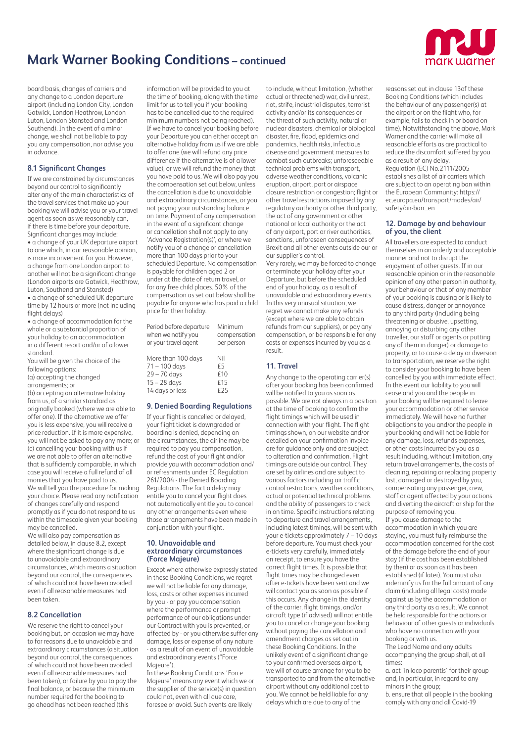

board basis, changes of carriers and any change to a London departure airport (including London City, London Gatwick, London Heathrow, London Luton, London Stansted and London Southend). In the event of a minor change, we shall not be liable to pay you any compensation, nor advise you in advance.

# **8.1 Significant Changes**

If we are constrained by circumstances beyond our control to significantly alter any of the main characteristics of the travel services that make up your booking we will advise you or your travel agent as soon as we reasonably can, if there is time before your departure. Significant changes may include:

• a change of your UK departure airport to one which, in our reasonable opinion, is more inconvenient for you. However, a change from one London airport to another will not be a significant change (London airports are Gatwick, Heathrow, Luton, Southend and Stansted)

• a change of scheduled UK departure time by 12 hours or more (not including flight delays)

• a change of accommodation for the whole or a substantial proportion of your holiday to an accommodation in a different resort and/or of a lower standard.

You will be given the choice of the following options: (a) accepting the changed

arrangements; or (b) accepting an alternative holiday from us, of a similar standard as originally booked (where we are able to offer one). If the alternative we offer you is less expensive, you will receive a price reduction. If it is more expensive, you will not be asked to pay any more; or (c) cancelling your booking with us if we are not able to offer an alternative that is sufficiently comparable, in which case you will receive a full refund of all monies that you have paid to us. We will tell you the procedure for making your choice. Please read any notification of changes carefully and respond promptly as if you do not respond to us

within the timescale given your booking may be cancelled. We will also pay compensation as

detailed below, in clause 8.2, except where the significant change is due to unavoidable and extraordinary circumstances, which means a situation beyond our control, the consequences of which could not have been avoided even if all reasonable measures had been taken.

# **8.2 Cancellation**

We reserve the right to cancel your booking but, on occasion we may have to for reasons due to unavoidable and extraordinary circumstances (a situation beyond our control, the consequences of which could not have been avoided even if all reasonable measures had been taken), or failure by you to pay the final balance, or because the minimum number required for the booking to go ahead has not been reached (this

information will be provided to you at the time of booking, along with the time limit for us to tell you if your booking has to be cancelled due to the required minimum numbers not being reached). If we have to cancel your booking before your Departure you can either accept an alternative holiday from us if we are able to offer one (we will refund any price difference if the alternative is of a lower value), or we will refund the money that you have paid to us. We will also pay you the compensation set out below, unless the cancellation is due to unavoidable and extraordinary circumstances, or you not paying your outstanding balance on time. Payment of any compensation in the event of a significant change or cancellation shall not apply to any 'Advance Registration(s)', or where we notify you of a change or cancellation more than 100 days prior to your scheduled Departure. No compensation is payable for children aged 2 or under at the date of return travel, or for any free child places. 50% of the compensation as set out below shall be payable for anyone who has paid a child price for their holiday.

| Period before departure<br>when we notify you<br>or your travel agent | Minimum<br>compensation<br>per person |
|-----------------------------------------------------------------------|---------------------------------------|
| More than 100 days                                                    | Nil                                   |
| $71 - 100$ days                                                       | €5                                    |
| $29 - 70$ days                                                        | £10                                   |
| $15 - 28$ days                                                        | £15                                   |
| 14 days or less                                                       | €25                                   |

# **9. Denied Boarding Regulations**

If your flight is cancelled or delayed, your flight ticket is downgraded or boarding is denied, depending on the circumstances, the airline may be required to pay you compensation, refund the cost of your flight and/or provide you with accommodation and/ or refreshments under EC Regulation 261/2004 - the Denied Boarding Regulations. The fact a delay may entitle you to cancel your flight does not automatically entitle you to cancel any other arrangements even where those arrangements have been made in conjunction with your flight.

#### **10. Unavoidable and extraordinary circumstances (Force Majeure)**

Except where otherwise expressly stated in these Booking Conditions, we regret we will not be liable for any damage, loss, costs or other expenses incurred by you - or pay you compensation where the performance or prompt performance of our obligations under our Contract with you is prevented, or affected by - or you otherwise suffer any damage, loss or expense of any nature - as a result of an event of unavoidable and extraordinary events ("Force Majeure').

In these Booking Conditions 'Force Majeure' means any event which we or the supplier of the service(s) in question could not, even with all due care, foresee or avoid. Such events are likely

to include, without limitation, (whether actual or threatened) war, civil unrest, riot, strife, industrial disputes, terrorist activity and/or its consequences or the threat of such activity, natural or nuclear disasters, chemical or biological disaster, fire, flood, epidemics and pandemics, health risks, infectious disease and government measures to combat such outbreaks; unforeseeable technical problems with transport, adverse weather conditions, volcanic eruption, airport, port or airspace closure restriction or congestion; flight or other travel restrictions imposed by any regulatory authority or other third party, the act of any government or other national or local authority or the act of any airport, port or river authorities, sanctions, unforeseen consequences of Brexit and all other events outside our or our supplier's control.

Very rarely, we may be forced to change or terminate your holiday after your Departure, but before the scheduled end of your holiday, as a result of unavoidable and extraordinary events. In this very unusual situation, we regret we cannot make any refunds (except where we are able to obtain refunds from our suppliers), or pay any compensation, or be responsible for any costs or expenses incurred by you as a result.

# **11. Travel**

Any change to the operating carrier(s) after your booking has been confirmed will be notified to you as soon as possible. We are not always in a position at the time of booking to confirm the flight timings which will be used in connection with your flight. The flight timings shown, on our website and/or detailed on your confirmation invoice are for guidance only and are subject to alteration and confirmation. Flight timings are outside our control. They are set by airlines and are subject to various factors including air traffic control restrictions, weather conditions, actual or potential technical problems and the ability of passengers to check in on time. Specific instructions relating to departure and travel arrangements, including latest timings, will be sent with your e-tickets approximately 7 – 10 days before departure. You must check your e-tickets very carefully, immediately on receipt, to ensure you have the correct flight times. It is possible that flight times may be changed even after e-tickets have been sent and we will contact you as soon as possible if this occurs. Any change in the identity of the carrier, flight timings, and/or aircraft type (if advised) will not entitle you to cancel or change your booking without paying the cancellation and amendment charges as set out in these Booking Conditions. In the unlikely event of a significant change to your confirmed overseas airport, we will of course arrange for you to be transported to and from the alternative airport without any additional cost to you. We cannot be held liable for any delays which are due to any of the

reasons set out in clause 13of these Booking Conditions (which includes the behaviour of any passenger(s) at the airport or on the flight who, for example, fails to check in or board on time). Notwithstanding the above, Mark Warner and the carrier will make all reasonable efforts as are practical to reduce the discomfort suffered by you as a result of any delay. Regulation (EC) No.2111/2005 establishes a list of air carriers which are subject to an operating ban within the European Community: https:// ec.europa.eu/transport/modes/air/ safety/air-ban\_en

# **12. Damage by and behaviour of you, the client**

All travellers are expected to conduct themselves in an orderly and acceptable manner and not to disrupt the enjoyment of other guests. If in our reasonable opinion or in the reasonable opinion of any other person in authority, your behaviour or that of any member of your booking is causing or is likely to cause distress, danger or annoyance to any third party (including being threatening or abusive, upsetting, annoying or disturbing any other traveller, our staff or agents or putting any of them in danger) or damage to property, or to cause a delay or diversion to transportation, we reserve the right to consider your booking to have been cancelled by you with immediate effect. In this event our liability to you will cease and you and the people in your booking will be required to leave your accommodation or other service immediately. We will have no further obligations to you and/or the people in your booking and will not be liable for any damage, loss, refunds expenses, or other costs incurred by you as a result including, without limitation, any return travel arrangements, the costs of cleaning, repairing or replacing property lost, damaged or destroyed by you, compensating any passenger, crew, staff or agent affected by your actions and diverting the aircraft or ship for the purpose of removing you. If you cause damage to the accommodation in which you are staying, you must fully reimburse the accommodation concerned for the cost of the damage before the end of your stay (if the cost has been established by then) or as soon as it has been established (if later). You must also indemnify us for the full amount of any claim (including all legal costs) made against us by the accommodation or any third party as a result. We cannot be held responsible for the actions or behaviour of other guests or individuals who have no connection with your

booking or with us. The Lead Name and any adults accompanying the group shall, at all times:

a. act 'in loco parentis' for their group and, in particular, in regard to any minors in the group; b. ensure that all people in the booking comply with any and all Covid-19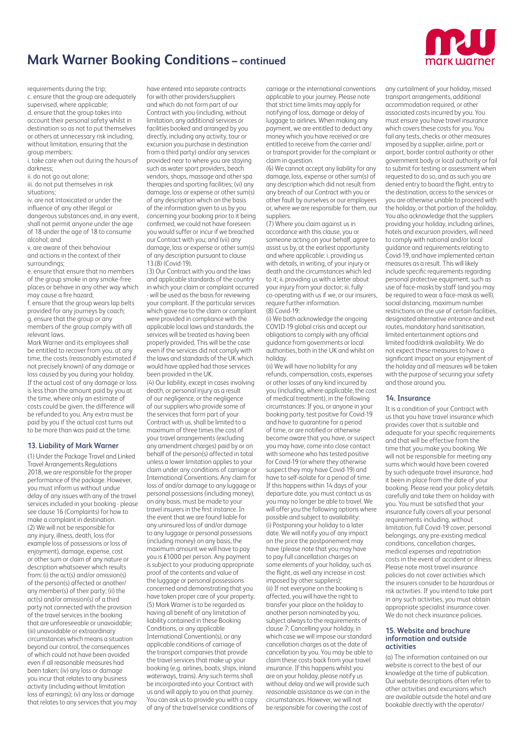

requirements during the trip;

c. ensure that the group are adequately supervised, where applicable; d. ensure that the group takes into account their personal safety whilst in destination so as not to put themselves or others at unnecessary risk including, without limitation, ensuring that the group members:

i. take care when out during the hours of darkness;

ii. do not go out alone;

iii. do not put themselves in risk situations;

iv. are not intoxicated or under the influence of any other illegal or dangerous substances and, in any event, shall not permit anyone under the age of 18 under the age of 18 to consume alcohol; and

v. are aware of their behaviour and actions in the context of their surroundings;

e. ensure that ensure that no members of the group smoke in any smoke-free places or behave in any other way which may cause a fire hazard;

f. ensure that the group wears lap belts provided for any journeys by coach; g. ensure that the group or any members of the group comply with all relevant laws.

Mark Warner and its employees shall be entitled to recover from you, at any time, the costs (reasonably estimated if not precisely known) of any damage or loss caused by you during your holiday. If the actual cost of any damage or loss is less than the amount paid by you at the time, where only an estimate of costs could be given, the difference will be refunded to you. Any extra must be paid by you if the actual cost turns out to be more than was paid at the time.

# **13. Liability of Mark Warner**

(1) Under the Package Travel and Linked Travel Arrangements Regulations 2018, we are responsible for the proper performance of the package. However, you must inform us without undue delay of any issues with any of the travel services included in your booking - please see clause 16 (Complaints) for how to make a complaint in destination. (2) We will not be responsible for any injury, illness, death, loss (for example loss of possessions or loss of enjoyment), damage, expense, cost or other sum or claim of any nature or description whatsoever which results from: (i) the act(s) and/or omission(s) of the person(s) affected or another/ any member(s) of their party; (ii) the act(s) and/or omission(s) of a third party not connected with the provision of the travel services in the booking that are unforeseeable or unavoidable; (iii) unavoidable or extraordinary circumstances which means a situation beyond our control, the consequences of which could not have been avoided even if all reasonable measures had been taken; (iv) any loss or damage you incur that relates to any business activity (including without limitation loss of earnings); (v) any loss or damage that relates to any services that you may

have entered into separate contracts for with other providers/suppliers and which do not form part of our Contract with you (including, without limitation, any additional services or facilities booked and arranged by you directly, including any activity, tour or excursion you purchase in destination from a third party) and/or any services provided near to where you are staying such as water sport providers, beach vendors, shops, massage and other spa therapies and sporting facilities; (vi) any damage, loss or expense or other sum(s) of any description which on the basis of the information given to us by you concerning your booking prior to it being confirmed, we could not have foreseen you would suffer or incur if we breached our Contract with you; and (vii) any damage, loss or expense or other sum(s) of any description pursuant to clause 13.(8) (Covid-19).

(3) Our Contract with you and the laws and applicable standards of the country in which your claim or complaint occurred - will be used as the basis for reviewing your compliant. If the particular services which gave rise to the claim or complaint were provided in compliance with the applicable local laws and standards, the services will be treated as having been properly provided. This will be the case even if the services did not comply with the laws and standards of the UK which would have applied had those services been provided in the UK.

(4) Our liability, except in cases involving death, or personal injury as a result of our negligence, or the negligence of our suppliers who provide some of the services that form part of your Contract with us, shall be limited to a maximum of three times the cost of your travel arrangements (excluding any amendment charges) paid by or on behalf of the person(s) affected in total unless a lower limitation applies to your claim under any conditions of carriage or International Conventions. Any claim for loss of and/or damage to any luggage or personal possessions (including money), on any basis, must be made to your travel insurers in the first instance. In the event that we are found liable for any uninsured loss of and/or damage to any luggage or personal possessions (including money) on any basis, the maximum amount we will have to pay you is £1000 per person. Any payment is subject to your producing appropriate proof of the contents and value of the luggage or personal possessions concerned and demonstrating that you have taken proper care of your property. (5) Mark Warner is to be regarded as having all benefit of any limitation of liability contained in these Booking Conditions, or any applicable International Convention(s), or any applicable conditions of carriage of the transport companies that provide the travel services that make up your booking (e.g. airlines, boats, ships, inland waterways, trains). Any such terms shall be incorporated into your Contract with us and will apply to you on that journey. You can ask us to provide you with a copy of any of the travel service conditions of

carriage or the international conventions applicable to your journey. Please note that strict time limits may apply for notifying of loss, damage or delay of luggage to airlines. When making any payment, we are entitled to deduct any money which you have received or are entitled to receive from the carrier and/ or transport provider for the complaint or claim in question.

(6) We cannot accept any liability for any damage, loss, expense or other sum(s) of any description which did not result from any breach of our Contract with you or other fault by ourselves or our employees or, where we are responsible for them, our suppliers.

(7) Where you claim against us in accordance with this clause, you or someone acting on your behalf, agree to assist us by, at the earliest opportunity and where applicable: i. providing us with details, in writing, of your injury or death and the circumstances which led to it; ii. providing us with a letter about your injury from your doctor; iii. fully co-operating with us if we, or our insurers. require further information. (8) Covid-19:

(i) We both acknowledge the ongoing COVID-19 global crisis and accept our obligations to comply with any official guidance from governments or local authorities, both in the UK and whilst on holiday.

(ii) We will have no liability for any refunds, compensation, costs, expenses or other losses of any kind incurred by you (including, where applicable, the cost of medical treatment), in the following circumstances: If you, or anyone in your booking party, test positive for Covid-19 and have to quarantine for a period of time, or are notified or otherwise become aware that you have, or suspect you may have, come into close contact with someone who has tested positive for Covid-19 (or where they otherwise suspect they may have Covid-19) and have to self-isolate for a period of time. If this happens within 14 days of your departure date, you must contact us as you may no longer be able to travel. We will offer you the following options where possible and subject to availability: (i) Postponing your holiday to a later date. We will notify you of any impact on the price the postponement may have (please note that you may have to pay full cancellation charges on some elements of your holiday, such as the flight, as well any increase in cost imposed by other suppliers); (ii) If not everyone on the booking is affected, you will have the right to transfer your place on the holiday to another person nominated by you, subject always to the requirements of clause 7; Cancelling your holiday, in which case we will impose our standard cancellation charges as at the date of cancellation by you. You may be able to claim these costs back from your travel insurance. If this happens whilst you are on your holiday, please notify us without delay and we will provide such reasonable assistance as we can in the circumstances. However, we will not be responsible for covering the cost of

any curtailment of your holiday, missed transport arrangements, additional accommodation required, or other associated costs incurred by you. You must ensure you have travel insurance which covers these costs for you. You fail any tests, checks or other measures imposed by a supplier, airline, port or airport, border control authority or other government body or local authority or fail to submit for testing or assessment when requested to do so, and as such you are denied entry to board the flight, entry to the destination, access to the services or you are otherwise unable to proceed with the holiday, or that portion of the holiday. You also acknowledge that the suppliers providing your holiday, including airlines, hotels and excursion providers, will need to comply with national and/or local guidance and requirements relating to Covid-19, and have implemented certain measures as a result. This will likely include specific requirements regarding personal protective equipment, such as use of face-masks by staff (and you may be required to wear a face-mask as well), social distancing, maximum number restrictions on the use of certain facilities, designated alternative entrance and exit routes, mandatory hand sanitisation, limited entertainment options and limited food/drink availability. We do not expect these measures to have a significant impact on your enjoyment of the holiday and all measures will be taken with the purpose of securing your safety and those around you.

# **14. Insurance**

It is a condition of your Contract with us that you have travel insurance which provides cover that is suitable and adequate for your specific requirements and that will be effective from the time that you make you booking. We will not be responsible for meeting any sums which would have been covered by such adequate travel insurance, had it been in place from the date of your booking. Please read your policy details carefully and take them on holiday with you. You must be satisfied that your insurance fully covers all your personal requirements including, without limitation, full Covid-19 cover, personal belongings, any pre-existing medical conditions, cancellation charges, medical expenses and repatriation costs in the event of accident or illness. Please note most travel insurance policies do not cover activities which the insurers consider to be hazardous or risk activities. If you intend to take part in any such activities, you must obtain appropriate specialist insurance cover. We do not check insurance policies.

#### **15. Website and brochure information and outside activities**

(a) The information contained on our website is correct to the best of our knowledge at the time of publication. Our website descriptions often refer to other activities and excursions which are available outside the hotel and are bookable directly with the operator/